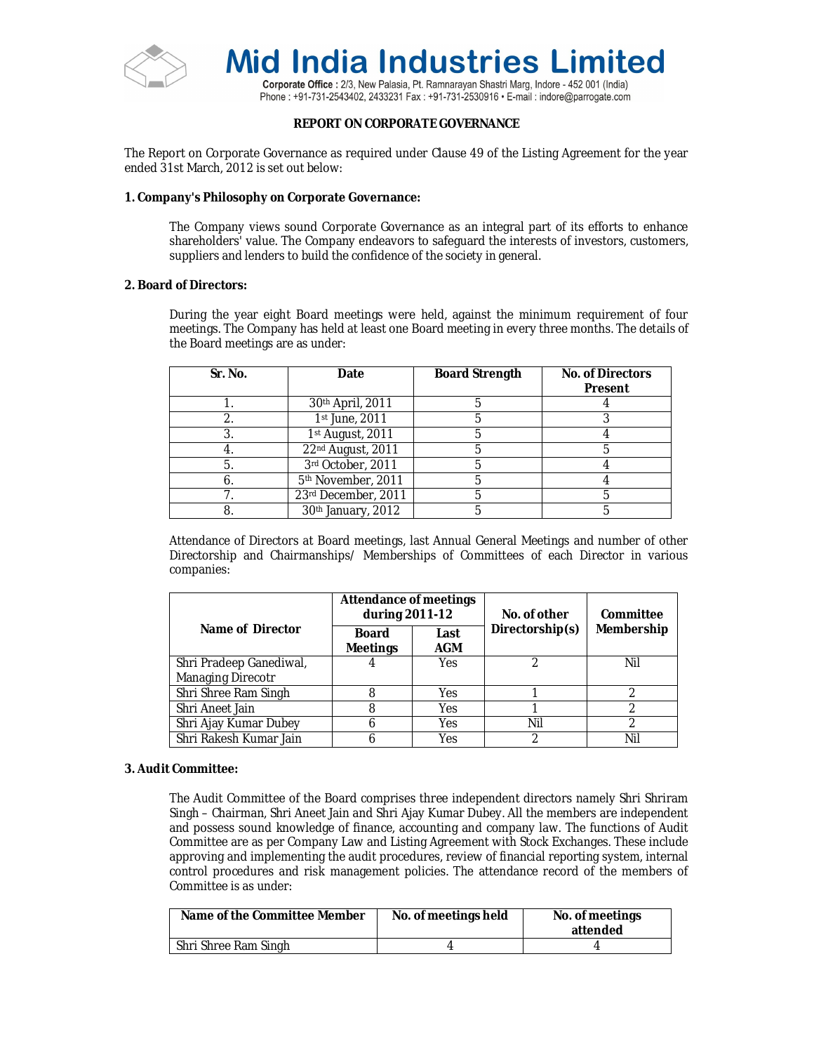

Corporate Office : 2/3, New Palasia, Pt. Ramnarayan Shastri Marg, Indore - 452 001 (India) Phone: +91-731-2543402, 2433231 Fax: +91-731-2530916 • E-mail: indore@parrogate.com

## **REPORT ON CORPORATE GOVERNANCE**

The Report on Corporate Governance as required under Clause 49 of the Listing Agreement for the year ended 31st March, 2012 is set out below:

#### **1. Company's Philosophy on Corporate Governance:**

The Company views sound Corporate Governance as an integral part of its efforts to enhance shareholders' value. The Company endeavors to safeguard the interests of investors, customers, suppliers and lenders to build the confidence of the society in general.

#### **2. Board of Directors:**

During the year eight Board meetings were held, against the minimum requirement of four meetings. The Company has held at least one Board meeting in every three months. The details of the Board meetings are as under:

| Sr. No. | Date                           | <b>Board Strength</b> | <b>No. of Directors</b><br><b>Present</b> |
|---------|--------------------------------|-----------------------|-------------------------------------------|
|         | 30th April, 2011               |                       |                                           |
|         | 1st June, 2011                 |                       |                                           |
|         | 1st August, 2011               |                       |                                           |
|         | 22nd August, 2011              |                       |                                           |
| -5.     | 3rd October, 2011              |                       |                                           |
| o.      | 5 <sup>th</sup> November, 2011 |                       |                                           |
|         | 23rd December, 2011            |                       |                                           |
| 8       | 30th January, 2012             |                       |                                           |

Attendance of Directors at Board meetings, last Annual General Meetings and number of other Directorship and Chairmanships/ Memberships of Committees of each Director in various companies:

|                                              | <b>Attendance of meetings</b><br>during 2011-12 |             | No. of other    | Committee  |  |
|----------------------------------------------|-------------------------------------------------|-------------|-----------------|------------|--|
| Name of Director                             | Board<br><b>Meetings</b>                        | Last<br>AGM | Directorship(s) | Membership |  |
| Shri Pradeep Ganediwal,<br>Managing Direcotr |                                                 | Yes         |                 | Nil        |  |
| Shri Shree Ram Singh                         |                                                 | Yes         |                 |            |  |
| Shri Aneet Jain                              | 8                                               | Yes         |                 | 2          |  |
| Shri Ajay Kumar Dubey                        |                                                 | Yes         | Nil             | ኅ          |  |
| Shri Rakesh Kumar Jain                       |                                                 | Yes         |                 | Nil        |  |

## **3. Audit Committee:**

The Audit Committee of the Board comprises three independent directors namely Shri Shriram Singh – Chairman, Shri Aneet Jain and Shri Ajay Kumar Dubey. All the members are independent and possess sound knowledge of finance, accounting and company law. The functions of Audit Committee are as per Company Law and Listing Agreement with Stock Exchanges. These include approving and implementing the audit procedures, review of financial reporting system, internal control procedures and risk management policies. The attendance record of the members of Committee is as under:

| Name of the Committee Member | No. of meetings held | No. of meetings<br>attended |
|------------------------------|----------------------|-----------------------------|
| Shri Shree Ram Singh         |                      |                             |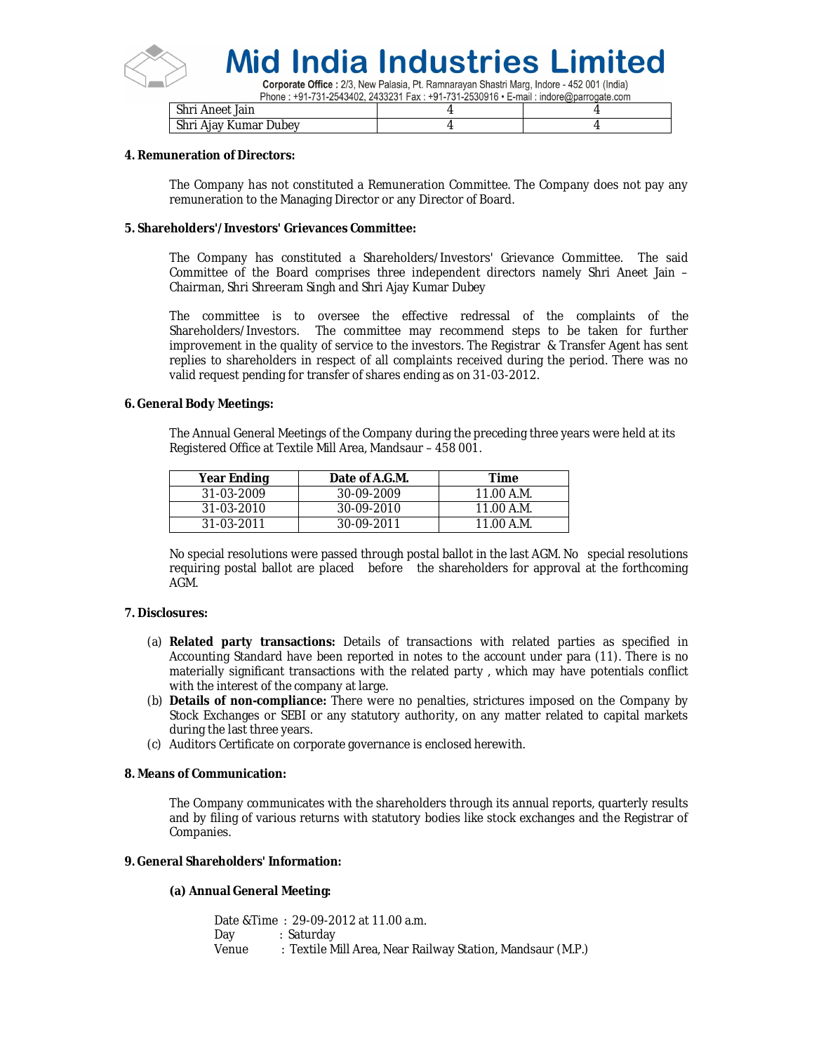

Corporate Office : 2/3, New Palasia, Pt. Ramnarayan Shastri Marg, Indore - 452 001 (India) Phone: +91-731-2543402. 2433231 Fax: +91-731-2530916 • E-mail: indore@parrogate.com

| Shri Aneet Jain       |  |
|-----------------------|--|
| Shri Ajay Kumar Dubey |  |

#### **4. Remuneration of Directors:**

The Company has not constituted a Remuneration Committee. The Company does not pay any remuneration to the Managing Director or any Director of Board.

#### **5. Shareholders'/Investors' Grievances Committee:**

The Company has constituted a Shareholders/Investors' Grievance Committee. The said Committee of the Board comprises three independent directors namely Shri Aneet Jain – Chairman, Shri Shreeram Singh and Shri Ajay Kumar Dubey

The committee is to oversee the effective redressal of the complaints of the Shareholders/Investors. The committee may recommend steps to be taken for further improvement in the quality of service to the investors. The Registrar & Transfer Agent has sent replies to shareholders in respect of all complaints received during the period. There was no valid request pending for transfer of shares ending as on 31-03-2012.

#### **6. General Body Meetings:**

The Annual General Meetings of the Company during the preceding three years were held at its Registered Office at Textile Mill Area, Mandsaur – 458 001.

| Year Ending      | Date of A.G.M. | Time       |
|------------------|----------------|------------|
| 31-03-2009       | 30-09-2009     | 11.00 A.M. |
| 31-03-2010       | 30-09-2010     | 11.00 A.M. |
| $31 - 03 - 2011$ | $30-09-2011$   | 11.00 A.M. |

No special resolutions were passed through postal ballot in the last AGM. No special resolutions requiring postal ballot are placed before the shareholders for approval at the forthcoming AGM.

#### **7. Disclosures:**

- (a) **Related party transactions:** Details of transactions with related parties as specified in Accounting Standard have been reported in notes to the account under para (11). There is no materially significant transactions with the related party , which may have potentials conflict with the interest of the company at large.
- (b) **Details of non-compliance:** There were no penalties, strictures imposed on the Company by Stock Exchanges or SEBI or any statutory authority, on any matter related to capital markets during the last three years.
- (c) Auditors Certificate on corporate governance is enclosed herewith.

#### **8. Means of Communication:**

The Company communicates with the shareholders through its annual reports, quarterly results and by filing of various returns with statutory bodies like stock exchanges and the Registrar of Companies.

#### **9. General Shareholders' Information:**

#### **(a) Annual General Meeting:**

Date &Time : 29-09-2012 at 11.00 a.m. Day : Saturday Venue : Textile Mill Area, Near Railway Station, Mandsaur (M.P.)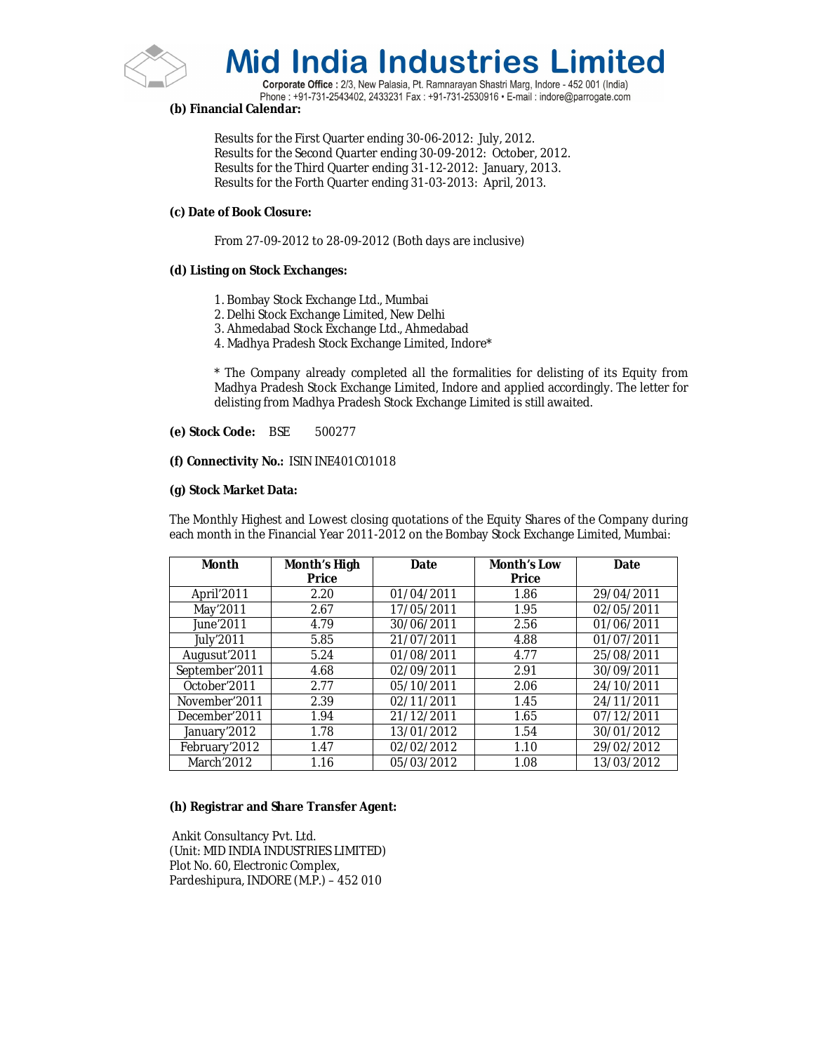

Corporate Office : 2/3, New Palasia, Pt. Ramnarayan Shastri Marg, Indore - 452 001 (India) Phone: +91-731-2543402, 2433231 Fax: +91-731-2530916 · E-mail: indore@parrogate.com

## **(b) Financial Calendar:**

Results for the First Quarter ending 30-06-2012: July, 2012. Results for the Second Quarter ending 30-09-2012: October, 2012. Results for the Third Quarter ending 31-12-2012: January, 2013. Results for the Forth Quarter ending 31-03-2013: April, 2013.

## **(c) Date of Book Closure:**

From 27-09-2012 to 28-09-2012 (Both days are inclusive)

#### **(d) Listing on Stock Exchanges:**

- 1. Bombay Stock Exchange Ltd., Mumbai
- 2. Delhi Stock Exchange Limited, New Delhi
- 3. Ahmedabad Stock Exchange Ltd., Ahmedabad
- 4. Madhya Pradesh Stock Exchange Limited, Indore\*

\* The Company already completed all the formalities for delisting of its Equity from Madhya Pradesh Stock Exchange Limited, Indore and applied accordingly. The letter for delisting from Madhya Pradesh Stock Exchange Limited is still awaited.

#### **(e) Stock Code:** BSE 500277

#### **(f) Connectivity No.:** ISIN INE401C01018

#### **(g) Stock Market Data:**

The Monthly Highest and Lowest closing quotations of the Equity Shares of the Company during each month in the Financial Year 2011-2012 on the Bombay Stock Exchange Limited, Mumbai:

| <b>Month</b>              | Month's High | Date       | <b>Month's Low</b> | Date       |
|---------------------------|--------------|------------|--------------------|------------|
|                           | <b>Price</b> |            | <b>Price</b>       |            |
| April'2011                | 2.20         | 01/04/2011 | 1.86               | 29/04/2011 |
| May'2011                  | 2.67         | 17/05/2011 | 1.95               | 02/05/2011 |
| June'2011                 | 4.79         | 30/06/2011 | 2.56               | 01/06/2011 |
| <b>July'2011</b>          | 5.85         | 21/07/2011 | 4.88               | 01/07/2011 |
| Augusut'2011              | 5.24         | 01/08/2011 | 4.77               | 25/08/2011 |
| September'2011            | 4.68         | 02/09/2011 | 2.91               | 30/09/2011 |
| October <sup>'</sup> 2011 | 2.77         | 05/10/2011 | 2.06               | 24/10/2011 |
| November'2011             | 2.39         | 02/11/2011 | 1.45               | 24/11/2011 |
| December'2011             | 1.94         | 21/12/2011 | 1.65               | 07/12/2011 |
| January'2012              | 1.78         | 13/01/2012 | 1.54               | 30/01/2012 |
| February'2012             | 1.47         | 02/02/2012 | 1.10               | 29/02/2012 |
| March'2012                | 1.16         | 05/03/2012 | 1.08               | 13/03/2012 |

#### **(h) Registrar and Share Transfer Agent:**

Ankit Consultancy Pvt. Ltd. (Unit: MID INDIA INDUSTRIES LIMITED) Plot No. 60, Electronic Complex, Pardeshipura, INDORE (M.P.) – 452 010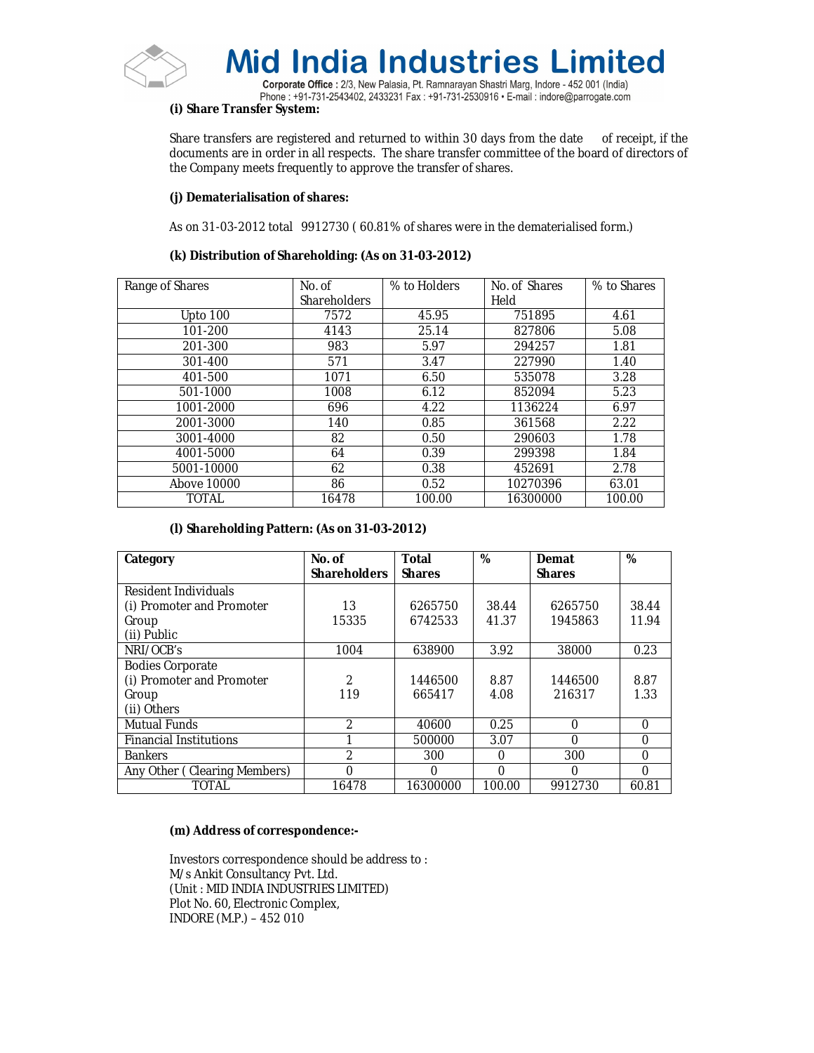

Corporate Office : 2/3, New Palasia, Pt. Ramnarayan Shastri Marg, Indore - 452 001 (India) Phone: +91-731-2543402, 2433231 Fax: +91-731-2530916 • E-mail: indore@parrogate.com

## **(i) Share Transfer System:**

Share transfers are registered and returned to within 30 days from the date of receipt, if the documents are in order in all respects. The share transfer committee of the board of directors of the Company meets frequently to approve the transfer of shares.

## **(j) Dematerialisation of shares:**

As on 31-03-2012 total 9912730 ( 60.81% of shares were in the dematerialised form.)

## **(k) Distribution of Shareholding: (As on 31-03-2012)**

| Range of Shares | No. of<br><b>Shareholders</b> | % to Holders | No. of Shares<br>Held | % to Shares |
|-----------------|-------------------------------|--------------|-----------------------|-------------|
| Upto 100        | 7572                          | 45.95        | 751895                | 4.61        |
| 101-200         | 4143                          | 25.14        | 827806                | 5.08        |
| 201-300         | 983                           | 5.97         | 294257                | 1.81        |
| 301-400         | 571                           | 3.47         | 227990                | 1.40        |
| 401-500         | 1071                          | 6.50         | 535078                | 3.28        |
| 501-1000        | 1008                          | 6.12         | 852094                | 5.23        |
| 1001-2000       | 696                           | 4.22         | 1136224               | 6.97        |
| 2001-3000       | 140                           | 0.85         | 361568                | 2.22        |
| 3001-4000       | 82                            | 0.50         | 290603                | 1.78        |
| 4001-5000       | 64                            | 0.39         | 299398                | 1.84        |
| 5001-10000      | 62                            | 0.38         | 452691                | 2.78        |
| Above 10000     | 86                            | 0.52         | 10270396              | 63.01       |
| TOTAL           | 16478                         | 100.00       | 16300000              | 100.00      |

# **(l) Shareholding Pattern: (As on 31-03-2012)**

| Category                      | No. of              | <b>Total</b>  | %        | Demat         | %        |
|-------------------------------|---------------------|---------------|----------|---------------|----------|
|                               | <b>Shareholders</b> | <b>Shares</b> |          | <b>Shares</b> |          |
| Resident Individuals          |                     |               |          |               |          |
| (i) Promoter and Promoter     | 13                  | 6265750       | 38.44    | 6265750       | 38.44    |
| Group                         | 15335               | 6742533       | 41.37    | 1945863       | 11.94    |
| (ii) Public                   |                     |               |          |               |          |
| NRI/OCB's                     | 1004                | 638900        | 3.92     | 38000         | 0.23     |
| <b>Bodies Corporate</b>       |                     |               |          |               |          |
| (i) Promoter and Promoter     | 2                   | 1446500       | 8.87     | 1446500       | 8.87     |
| Group                         | 119                 | 665417        | 4.08     | 216317        | 1.33     |
| (ii) Others                   |                     |               |          |               |          |
| Mutual Funds                  | 2                   | 40600         | 0.25     | $\Omega$      | 0        |
| <b>Financial Institutions</b> |                     | 500000        | 3.07     | $\Omega$      | $\Omega$ |
| <b>Bankers</b>                | $\mathfrak{D}$      | 300           | $\Omega$ | 300           | $\Omega$ |
| Any Other (Clearing Members)  | 0                   | 0             | $\Omega$ | $\Omega$      | $\Omega$ |
| TOTAL                         | 16478               | 16300000      | 100.00   | 9912730       | 60.81    |

## **(m) Address of correspondence:-**

Investors correspondence should be address to : M/s Ankit Consultancy Pvt. Ltd. (Unit : MID INDIA INDUSTRIES LIMITED) Plot No. 60, Electronic Complex, INDORE (M.P.) – 452 010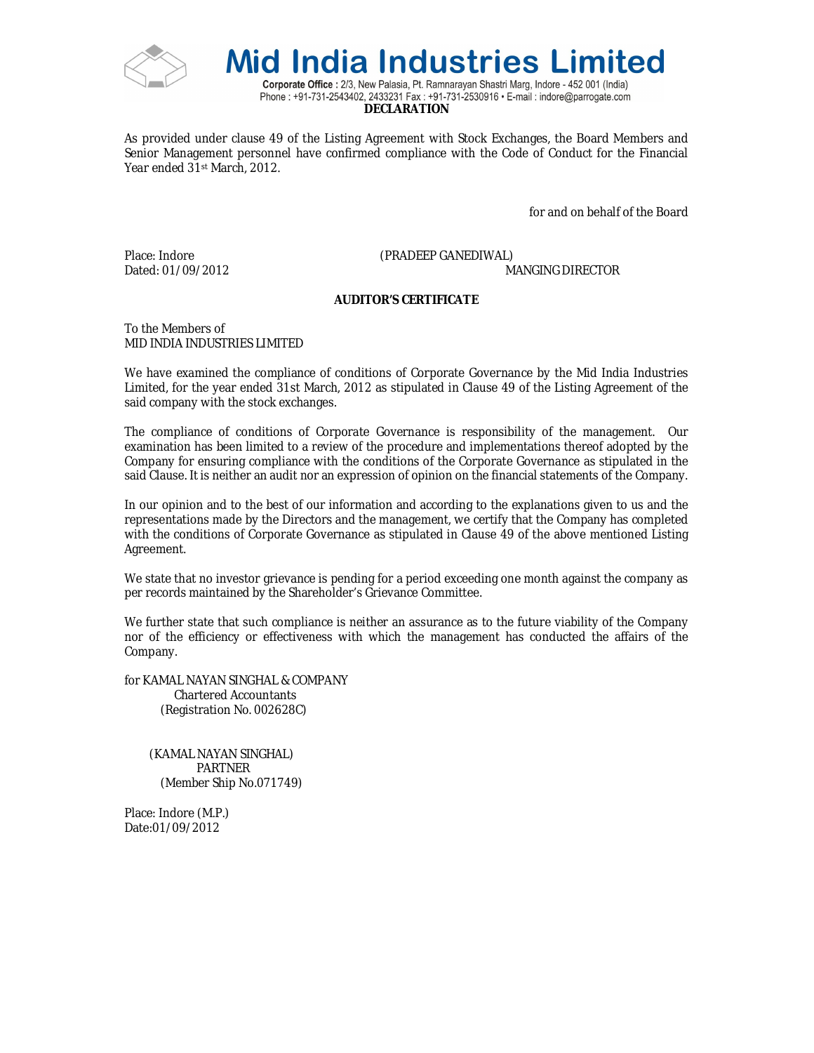



Corporate Office : 2/3, New Palasia, Pt. Ramnarayan Shastri Marg, Indore - 452 001 (India) Phone: +91-731-2543402, 2433231 Fax: +91-731-2530916 • E-mail: indore@parrogate.com **DECLARATION**

As provided under clause 49 of the Listing Agreement with Stock Exchanges, the Board Members and Senior Management personnel have confirmed compliance with the Code of Conduct for the Financial Year ended 31st March, 2012.

for and on behalf of the Board

Place: Indore (PRADEEP GANEDIWAL)

Dated: 01/09/2012 MANGING DIRECTOR

## **AUDITOR'S CERTIFICATE**

To the Members of MID INDIA INDUSTRIES LIMITED

We have examined the compliance of conditions of Corporate Governance by the Mid India Industries Limited, for the year ended 31st March, 2012 as stipulated in Clause 49 of the Listing Agreement of the said company with the stock exchanges.

The compliance of conditions of Corporate Governance is responsibility of the management. Our examination has been limited to a review of the procedure and implementations thereof adopted by the Company for ensuring compliance with the conditions of the Corporate Governance as stipulated in the said Clause. It is neither an audit nor an expression of opinion on the financial statements of the Company.

In our opinion and to the best of our information and according to the explanations given to us and the representations made by the Directors and the management, we certify that the Company has completed with the conditions of Corporate Governance as stipulated in Clause 49 of the above mentioned Listing Agreement.

We state that no investor grievance is pending for a period exceeding one month against the company as per records maintained by the Shareholder's Grievance Committee.

We further state that such compliance is neither an assurance as to the future viability of the Company nor of the efficiency or effectiveness with which the management has conducted the affairs of the Company.

for KAMAL NAYAN SINGHAL & COMPANY Chartered Accountants (Registration No. 002628C)

 (KAMAL NAYAN SINGHAL) PARTNER (Member Ship No.071749)

Place: Indore (M.P.) Date:01/09/2012